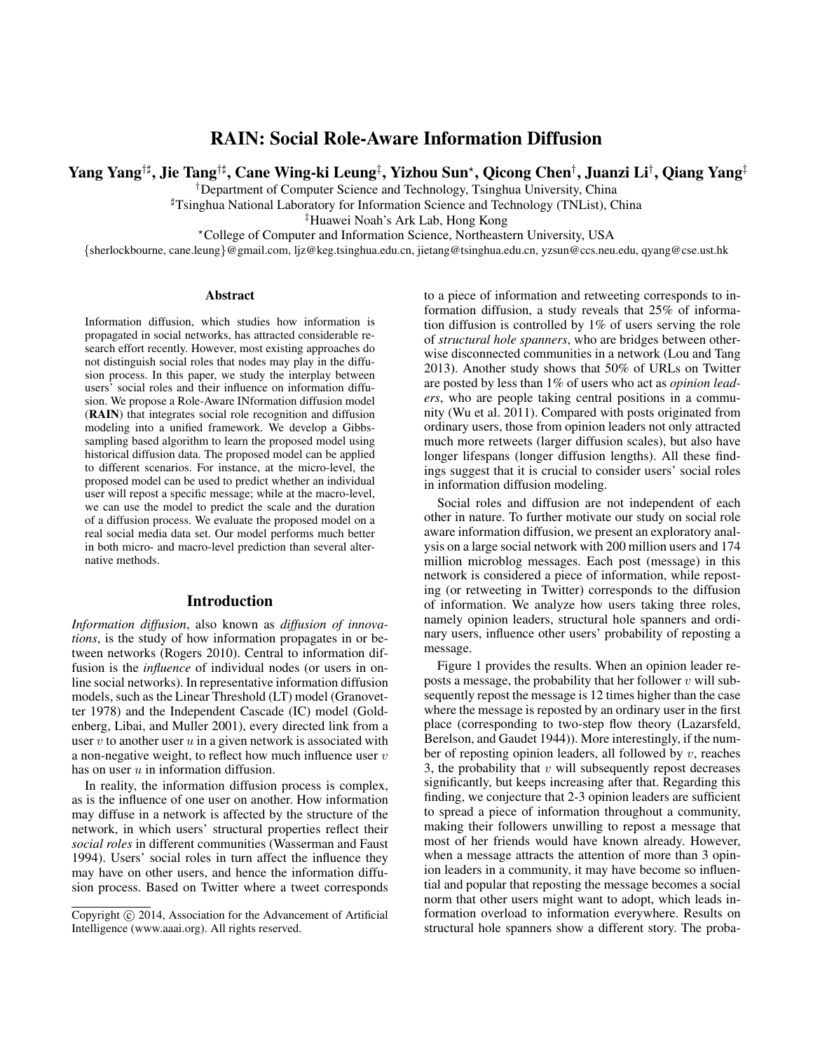# RAIN: Social Role-Aware Information Diffusion

Yang Yang†] , Jie Tang†] , Cane Wing-ki Leung‡ , Yizhou Sun? , Qicong Chen† , Juanzi Li† , Qiang Yang‡

†Department of Computer Science and Technology, Tsinghua University, China

]Tsinghua National Laboratory for Information Science and Technology (TNList), China

‡Huawei Noah's Ark Lab, Hong Kong

?College of Computer and Information Science, Northeastern University, USA

{sherlockbourne, cane.leung}@gmail.com, ljz@keg.tsinghua.edu.cn, jietang@tsinghua.edu.cn, yzsun@ccs.neu.edu, qyang@cse.ust.hk

#### Abstract

Information diffusion, which studies how information is propagated in social networks, has attracted considerable research effort recently. However, most existing approaches do not distinguish social roles that nodes may play in the diffusion process. In this paper, we study the interplay between users' social roles and their influence on information diffusion. We propose a Role-Aware INformation diffusion model (RAIN) that integrates social role recognition and diffusion modeling into a unified framework. We develop a Gibbssampling based algorithm to learn the proposed model using historical diffusion data. The proposed model can be applied to different scenarios. For instance, at the micro-level, the proposed model can be used to predict whether an individual user will repost a specific message; while at the macro-level, we can use the model to predict the scale and the duration of a diffusion process. We evaluate the proposed model on a real social media data set. Our model performs much better in both micro- and macro-level prediction than several alternative methods.

# Introduction

*Information diffusion*, also known as *diffusion of innovations*, is the study of how information propagates in or between networks (Rogers 2010). Central to information diffusion is the *influence* of individual nodes (or users in online social networks). In representative information diffusion models, such as the Linear Threshold (LT) model (Granovetter 1978) and the Independent Cascade (IC) model (Goldenberg, Libai, and Muller 2001), every directed link from a user  $v$  to another user  $u$  in a given network is associated with a non-negative weight, to reflect how much influence user  $v$ has on user  $u$  in information diffusion.

In reality, the information diffusion process is complex, as is the influence of one user on another. How information may diffuse in a network is affected by the structure of the network, in which users' structural properties reflect their *social roles* in different communities (Wasserman and Faust 1994). Users' social roles in turn affect the influence they may have on other users, and hence the information diffusion process. Based on Twitter where a tweet corresponds

to a piece of information and retweeting corresponds to information diffusion, a study reveals that 25% of information diffusion is controlled by 1% of users serving the role of *structural hole spanners*, who are bridges between otherwise disconnected communities in a network (Lou and Tang 2013). Another study shows that 50% of URLs on Twitter are posted by less than 1% of users who act as *opinion leaders*, who are people taking central positions in a community (Wu et al. 2011). Compared with posts originated from ordinary users, those from opinion leaders not only attracted much more retweets (larger diffusion scales), but also have longer lifespans (longer diffusion lengths). All these findings suggest that it is crucial to consider users' social roles in information diffusion modeling.

Social roles and diffusion are not independent of each other in nature. To further motivate our study on social role aware information diffusion, we present an exploratory analysis on a large social network with 200 million users and 174 million microblog messages. Each post (message) in this network is considered a piece of information, while reposting (or retweeting in Twitter) corresponds to the diffusion of information. We analyze how users taking three roles, namely opinion leaders, structural hole spanners and ordinary users, influence other users' probability of reposting a message.

Figure 1 provides the results. When an opinion leader reposts a message, the probability that her follower  $v$  will subsequently repost the message is 12 times higher than the case where the message is reposted by an ordinary user in the first place (corresponding to two-step flow theory (Lazarsfeld, Berelson, and Gaudet 1944)). More interestingly, if the number of reposting opinion leaders, all followed by  $v$ , reaches 3, the probability that  $v$  will subsequently repost decreases significantly, but keeps increasing after that. Regarding this finding, we conjecture that 2-3 opinion leaders are sufficient to spread a piece of information throughout a community, making their followers unwilling to repost a message that most of her friends would have known already. However, when a message attracts the attention of more than 3 opinion leaders in a community, it may have become so influential and popular that reposting the message becomes a social norm that other users might want to adopt, which leads information overload to information everywhere. Results on structural hole spanners show a different story. The proba-

Copyright  $\odot$  2014, Association for the Advancement of Artificial Intelligence (www.aaai.org). All rights reserved.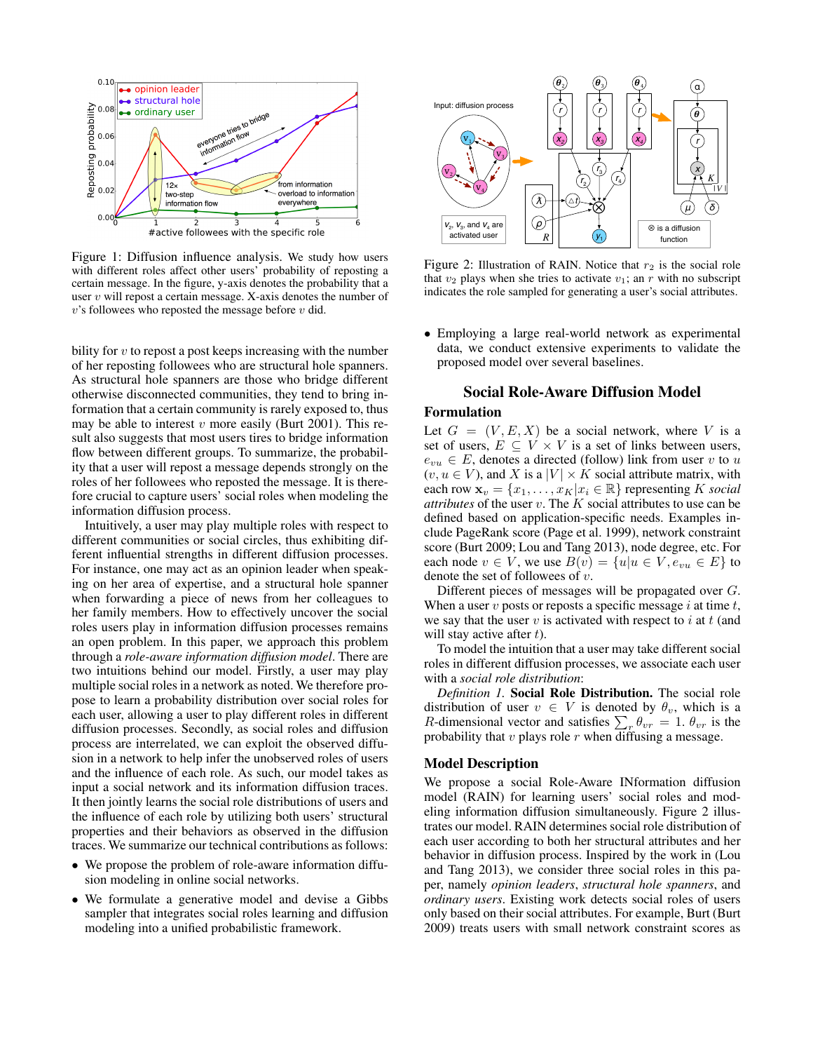

Figure 1: Diffusion influence analysis. We study how users with different roles affect other users' probability of reposting a certain message. In the figure, y-axis denotes the probability that a user  $v$  will repost a certain message. X-axis denotes the number of  $v$ 's followees who reposted the message before  $v$  did.

bility for  $v$  to repost a post keeps increasing with the number of her reposting followees who are structural hole spanners. As structural hole spanners are those who bridge different otherwise disconnected communities, they tend to bring information that a certain community is rarely exposed to, thus may be able to interest  $v$  more easily (Burt 2001). This result also suggests that most users tires to bridge information flow between different groups. To summarize, the probability that a user will repost a message depends strongly on the roles of her followees who reposted the message. It is therefore crucial to capture users' social roles when modeling the information diffusion process.

Intuitively, a user may play multiple roles with respect to different communities or social circles, thus exhibiting different influential strengths in different diffusion processes. For instance, one may act as an opinion leader when speaking on her area of expertise, and a structural hole spanner when forwarding a piece of news from her colleagues to her family members. How to effectively uncover the social roles users play in information diffusion processes remains an open problem. In this paper, we approach this problem through a *role-aware information diffusion model*. There are two intuitions behind our model. Firstly, a user may play multiple social roles in a network as noted. We therefore propose to learn a probability distribution over social roles for each user, allowing a user to play different roles in different diffusion processes. Secondly, as social roles and diffusion process are interrelated, we can exploit the observed diffusion in a network to help infer the unobserved roles of users and the influence of each role. As such, our model takes as input a social network and its information diffusion traces. It then jointly learns the social role distributions of users and the influence of each role by utilizing both users' structural properties and their behaviors as observed in the diffusion traces. We summarize our technical contributions as follows:

- We propose the problem of role-aware information diffusion modeling in online social networks.
- We formulate a generative model and devise a Gibbs sampler that integrates social roles learning and diffusion modeling into a unified probabilistic framework.



Figure 2: Illustration of RAIN. Notice that  $r_2$  is the social role that  $v_2$  plays when she tries to activate  $v_1$ ; an r with no subscript indicates the role sampled for generating a user's social attributes.

• Employing a large real-world network as experimental data, we conduct extensive experiments to validate the proposed model over several baselines.

# Social Role-Aware Diffusion Model

#### Formulation

Let  $G = (V, E, X)$  be a social network, where V is a set of users,  $E \subseteq V \times V$  is a set of links between users,  $e_{vu} \in E$ , denotes a directed (follow) link from user v to u  $(v, u \in V)$ , and X is a  $|V| \times K$  social attribute matrix, with each row  $\mathbf{x}_v = \{x_1, \ldots, x_K | x_i \in \mathbb{R} \}$  representing K *social attributes* of the user  $v$ . The  $K$  social attributes to use can be defined based on application-specific needs. Examples include PageRank score (Page et al. 1999), network constraint score (Burt 2009; Lou and Tang 2013), node degree, etc. For each node  $v \in V$ , we use  $B(v) = \{u | u \in V, e_{vu} \in E\}$  to denote the set of followees of  $v$ .

Different pieces of messages will be propagated over G. When a user  $v$  posts or reposts a specific message  $i$  at time  $t$ , we say that the user  $v$  is activated with respect to  $i$  at  $t$  (and will stay active after  $t$ ).

To model the intuition that a user may take different social roles in different diffusion processes, we associate each user with a *social role distribution*:

*Definition 1.* Social Role Distribution. The social role distribution of user  $v \in V$  is denoted by  $\theta_v$ , which is a R-dimensional vector and satisfies  $\sum_{r} \theta_{vr} = 1$ .  $\theta_{vr}$  is the probability that  $v$  plays role  $r$  when diffusing a message.

# Model Description

We propose a social Role-Aware INformation diffusion model (RAIN) for learning users' social roles and modeling information diffusion simultaneously. Figure 2 illustrates our model. RAIN determines social role distribution of each user according to both her structural attributes and her behavior in diffusion process. Inspired by the work in (Lou and Tang 2013), we consider three social roles in this paper, namely *opinion leaders*, *structural hole spanners*, and *ordinary users*. Existing work detects social roles of users only based on their social attributes. For example, Burt (Burt 2009) treats users with small network constraint scores as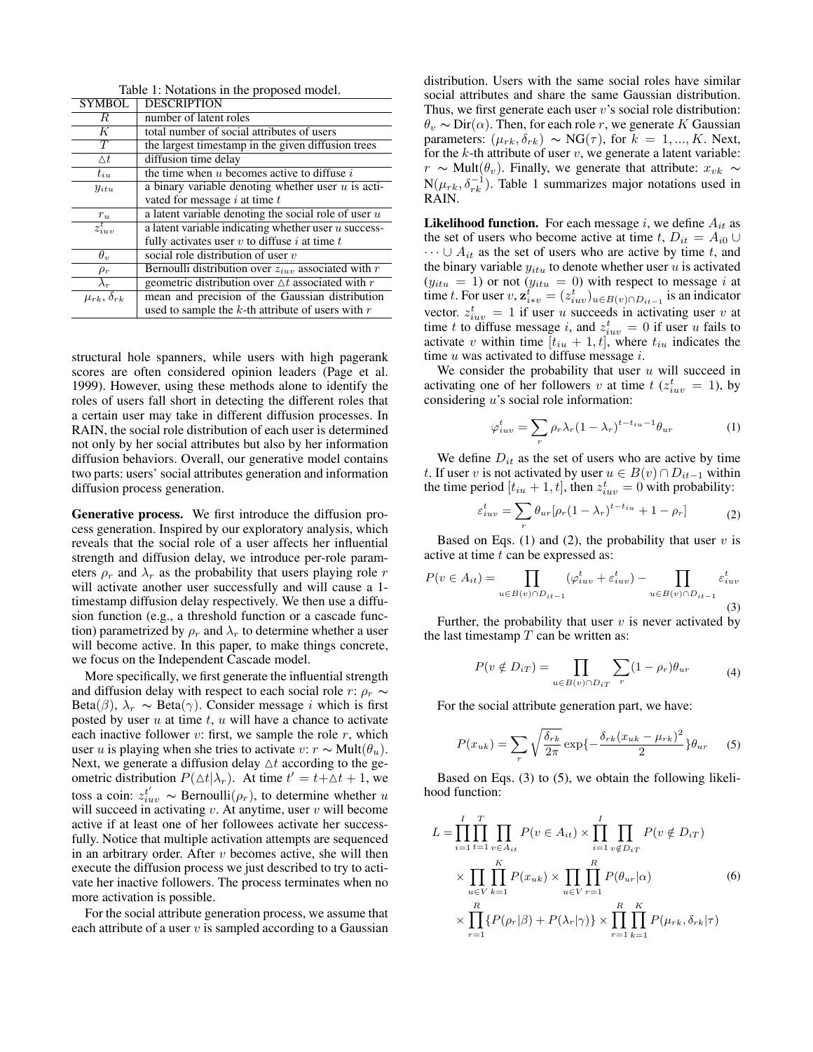| Table 1: Notations in the proposed model. |                                                             |  |  |  |
|-------------------------------------------|-------------------------------------------------------------|--|--|--|
| <b>SYMBOL</b>                             | <b>DESCRIPTION</b>                                          |  |  |  |
| R                                         | number of latent roles                                      |  |  |  |
| К                                         | total number of social attributes of users                  |  |  |  |
| $\overline{T}$                            | the largest timestamp in the given diffusion trees          |  |  |  |
| $\Delta t$                                | diffusion time delay                                        |  |  |  |
| $t_{iu}$                                  | the time when $u$ becomes active to diffuse $i$             |  |  |  |
| $y_{itu}$                                 | a binary variable denoting whether user $u$ is acti-        |  |  |  |
|                                           | vated for message $i$ at time $t$                           |  |  |  |
| $r_u$                                     | a latent variable denoting the social role of user $u$      |  |  |  |
| $z_{iuv}^t$                               | a latent variable indicating whether user $u$ success-      |  |  |  |
|                                           | fully activates user $v$ to diffuse $i$ at time $t$         |  |  |  |
| $\theta_{v}$                              | social role distribution of user $v$                        |  |  |  |
| $\rho_r$                                  | Bernoulli distribution over $z_{iuv}$ associated with r     |  |  |  |
| $\lambda_r$                               | geometric distribution over $\triangle t$ associated with r |  |  |  |
| $\mu_{rk}, \overline{\delta_{rk}}$        | mean and precision of the Gaussian distribution             |  |  |  |
|                                           | used to sample the $k$ -th attribute of users with $r$      |  |  |  |

 $T<sub>1</sub>$  1:  $T<sub>2</sub>$  1:  $T<sub>3</sub>$  1:

structural hole spanners, while users with high pagerank scores are often considered opinion leaders (Page et al. 1999). However, using these methods alone to identify the roles of users fall short in detecting the different roles that a certain user may take in different diffusion processes. In RAIN, the social role distribution of each user is determined not only by her social attributes but also by her information diffusion behaviors. Overall, our generative model contains two parts: users' social attributes generation and information diffusion process generation.

Generative process. We first introduce the diffusion process generation. Inspired by our exploratory analysis, which reveals that the social role of a user affects her influential strength and diffusion delay, we introduce per-role parameters  $\rho_r$  and  $\lambda_r$  as the probability that users playing role r will activate another user successfully and will cause a 1timestamp diffusion delay respectively. We then use a diffusion function (e.g., a threshold function or a cascade function) parametrized by  $\rho_r$  and  $\lambda_r$  to determine whether a user will become active. In this paper, to make things concrete, we focus on the Independent Cascade model.

More specifically, we first generate the influential strength and diffusion delay with respect to each social role r:  $\rho_r \sim$ Beta( $\beta$ ),  $\lambda_r \sim$  Beta( $\gamma$ ). Consider message *i* which is first posted by user  $u$  at time  $t$ ,  $u$  will have a chance to activate each inactive follower  $v$ : first, we sample the role  $r$ , which user u is playing when she tries to activate v:  $r \sim Mult(\theta_u)$ . Next, we generate a diffusion delay  $\Delta t$  according to the geometric distribution  $P(\Delta t | \lambda_r)$ . At time  $t' = t + \Delta t + 1$ , we toss a coin:  $z_{iuv}^{t'} \sim \text{Bernoulli}(\rho_r)$ , to determine whether u will succeed in activating  $v$ . At anytime, user  $v$  will become active if at least one of her followees activate her successfully. Notice that multiple activation attempts are sequenced in an arbitrary order. After  $v$  becomes active, she will then execute the diffusion process we just described to try to activate her inactive followers. The process terminates when no more activation is possible.

For the social attribute generation process, we assume that each attribute of a user  $v$  is sampled according to a Gaussian distribution. Users with the same social roles have similar social attributes and share the same Gaussian distribution. Thus, we first generate each user  $v$ 's social role distribution:  $\theta_v \sim \text{Dir}(\alpha)$ . Then, for each role r, we generate K Gaussian parameters:  $(\mu_{rk}, \delta_{rk}) \sim NG(\tau)$ , for  $k = 1, ..., K$ . Next, for the  $k$ -th attribute of user  $v$ , we generate a latent variable:  $r \sim \text{Mult}(\theta_v)$ . Finally, we generate that attribute:  $x_{vk} \sim$  $N(\mu_{rk}, \delta_{rk}^{-1})$ . Table 1 summarizes major notations used in RAIN.

**Likelihood function.** For each message i, we define  $A_{it}$  as the set of users who become active at time t,  $D_{it} = A_{i0} \cup$  $\cdots \cup A_{it}$  as the set of users who are active by time t, and the binary variable  $y_{itu}$  to denote whether user  $u$  is activated  $(y_{itu} = 1)$  or not  $(y_{itu} = 0)$  with respect to message i at time t. For user  $v, \mathbf{z}_{i*v}^t = (z_{iuv}^t)_{u \in B(v) \cap D_{it-1}}$  is an indicator vector.  $z_{iuv}^t = 1$  if user u succeeds in activating user v at time t to diffuse message i, and  $z_{iuv}^t = 0$  if user u fails to activate v within time  $[t_{iu} + 1, t]$ , where  $t_{iu}$  indicates the time  $u$  was activated to diffuse message  $i$ .

We consider the probability that user  $u$  will succeed in activating one of her followers v at time  $t$  ( $z_{iuv}^t = 1$ ), by considering u's social role information:

$$
\varphi_{iuv}^t = \sum_r \rho_r \lambda_r (1 - \lambda_r)^{t - t_{iu} - 1} \theta_{ur}
$$
 (1)

We define  $D_{it}$  as the set of users who are active by time t. If user v is not activated by user  $u \in B(v) \cap D_{it-1}$  within the time period  $[t_{iu} + 1, t]$ , then  $z_{iuv}^t = 0$  with probability:

$$
\varepsilon_{iuv}^t = \sum_r \theta_{ur} [\rho_r (1 - \lambda_r)^{t - t_{iu}} + 1 - \rho_r]
$$
 (2)

Based on Eqs. (1) and (2), the probability that user  $v$  is active at time  $t$  can be expressed as:

$$
P(v \in A_{it}) = \prod_{u \in B(v) \cap D_{it-1}} (\varphi_{iuv}^t + \varepsilon_{iuv}^t) - \prod_{u \in B(v) \cap D_{it-1}} \varepsilon_{iuv}^t
$$
\n(3)

Further, the probability that user  $v$  is never activated by the last timestamp  $T$  can be written as:

$$
P(v \notin D_{iT}) = \prod_{u \in B(v) \cap D_{iT}} \sum_{r} (1 - \rho_r) \theta_{ur}
$$
 (4)

For the social attribute generation part, we have:

$$
P(x_{uk}) = \sum_{r} \sqrt{\frac{\delta_{rk}}{2\pi}} \exp\left\{-\frac{\delta_{rk}(x_{uk} - \mu_{rk})^2}{2}\right\} \theta_{ur} \tag{5}
$$

Based on Eqs. (3) to (5), we obtain the following likelihood function:

$$
L = \prod_{i=1}^{I} \prod_{t=1}^{T} \prod_{v \in A_{it}} P(v \in A_{it}) \times \prod_{i=1}^{I} \prod_{v \notin D_{iT}} P(v \notin D_{iT})
$$
  
 
$$
\times \prod_{u \in V} \prod_{k=1}^{K} P(x_{uk}) \times \prod_{u \in V} \prod_{r=1}^{R} P(\theta_{ur}|\alpha)
$$
  
 
$$
\times \prod_{r=1}^{R} \{P(\rho_r|\beta) + P(\lambda_r|\gamma)\} \times \prod_{r=1}^{R} \prod_{k=1}^{K} P(\mu_{rk}, \delta_{rk}|\tau)
$$
(6)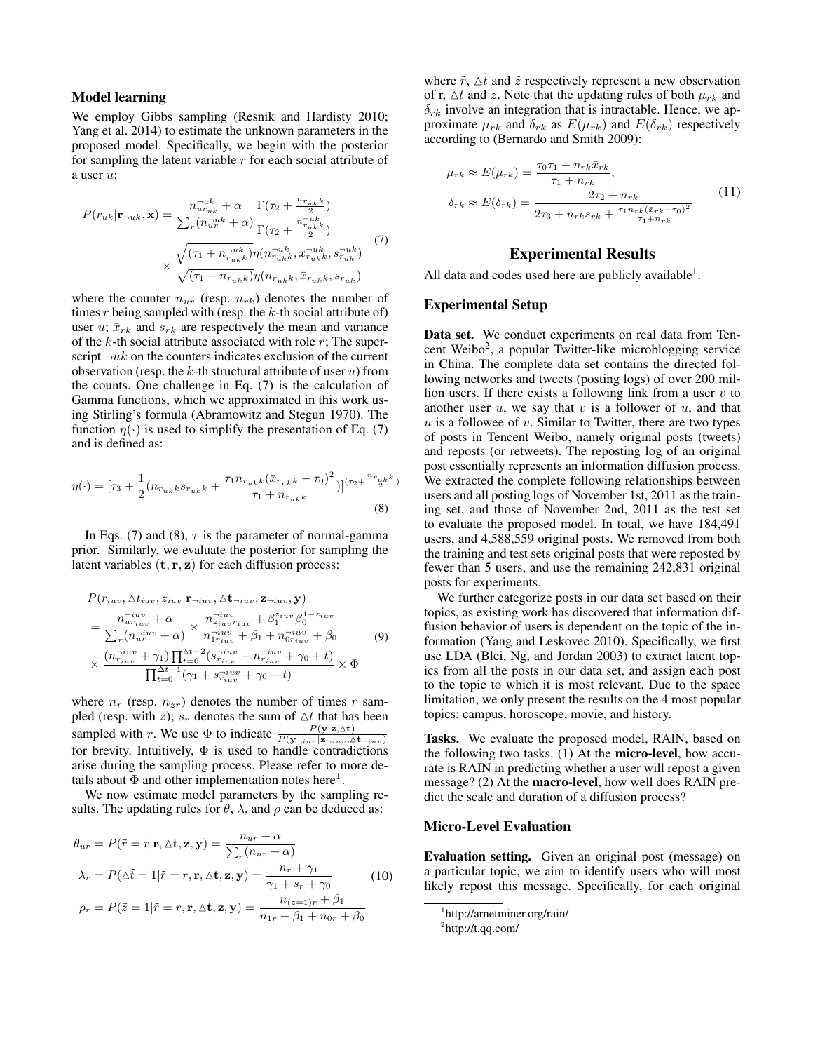#### Model learning

We employ Gibbs sampling (Resnik and Hardisty 2010; Yang et al. 2014) to estimate the unknown parameters in the proposed model. Specifically, we begin with the posterior for sampling the latent variable  $r$  for each social attribute of a user u:

$$
P(r_{uk}|\mathbf{r}_{\neg uk}, \mathbf{x}) = \frac{n_{uruk}^{-uk} + \alpha}{\sum_{r} (n_{ur}^{-uk} + \alpha)} \frac{\Gamma(\tau_2 + \frac{n_{r_{uk}k}}{2})}{\Gamma(\tau_2 + \frac{n_{ruk}^{-uk}}{2})}
$$
  
 
$$
\times \frac{\sqrt{(\tau_1 + n_{r_{uk}}^{-uk})} \eta(n_{r_{uk}k}^{-uk}, \bar{x}_{r_{uk}k}^{-uk}, s_{ruk}^{-uk})}{\sqrt{(\tau_1 + n_{r_{uk}k})} \eta(n_{r_{uk}k}, \bar{x}_{r_{uk}k}, s_{r_{uk}})}
$$
(7)

where the counter  $n_{ur}$  (resp.  $n_{rk}$ ) denotes the number of times  $r$  being sampled with (resp. the  $k$ -th social attribute of) user  $u$ ;  $\bar{x}_{rk}$  and  $s_{rk}$  are respectively the mean and variance of the  $k$ -th social attribute associated with role  $r$ ; The superscript  $\neg uk$  on the counters indicates exclusion of the current observation (resp. the k-th structural attribute of user  $u$ ) from the counts. One challenge in Eq. (7) is the calculation of Gamma functions, which we approximated in this work using Stirling's formula (Abramowitz and Stegun 1970). The function  $\eta(\cdot)$  is used to simplify the presentation of Eq. (7) and is defined as:

$$
\eta(\cdot) = [\tau_3 + \frac{1}{2}(n_{r_{uk}k}s_{r_{uk}k} + \frac{\tau_1 n_{r_{uk}k}(\bar{x}_{r_{uk}k} - \tau_0)^2}{\tau_1 + n_{r_{uk}k}})]^{(\tau_2 + \frac{n_{r_{uk}k}}{2})}
$$
(8)

In Eqs. (7) and (8),  $\tau$  is the parameter of normal-gamma prior. Similarly, we evaluate the posterior for sampling the latent variables  $(t, r, z)$  for each diffusion process:

$$
P(r_{iuv}, \Delta t_{iuv}, z_{iuv} | \mathbf{r}_{\neg iuv}, \Delta \mathbf{t}_{\neg iuv}, \mathbf{r}_{\neg iuv}, \mathbf{y})
$$
\n
$$
= \frac{n_{ur_{iuv}}^{-iuv} + \alpha}{\sum_{r} (n_{ur}^{-iuv} + \alpha)} \times \frac{n_{z_{iuv}r_{iuv}}^{-iuv} + \beta_1^{z_{iuv}} \beta_0^{1-z_{iuv}}}{n_{1ru}^{-iuv} + \beta_1 + n_{0ru}^{-iuv} + \beta_0}
$$
\n
$$
\times \frac{(n_{ruv}^{-iuv} + \gamma_1) \prod_{t=0}^{\Delta t-2} (s_{riuv}^{-iuv} - n_{riuv}^{-iuv} + \gamma_0 + t)}{\prod_{t=0}^{\Delta t-1} (\gamma_1 + s_{iuv}^{-iuv} + \gamma_0 + t)} \times \Phi
$$
\n(9)

where  $n_r$  (resp.  $n_{zr}$ ) denotes the number of times r sampled (resp. with z);  $s_r$  denotes the sum of  $\Delta t$  that has been sampled with r. We use  $\Phi$  to indicate  $\frac{P(\mathbf{y}|\mathbf{z},\Delta \mathbf{t})}{P(\mathbf{y}-iuv|\mathbf{z}-iuv,\Delta \mathbf{t}-iuv)}$ for brevity. Intuitively,  $\Phi$  is used to handle contradictions arise during the sampling process. Please refer to more details about  $\Phi$  and other implementation notes here<sup>1</sup>.

We now estimate model parameters by the sampling results. The updating rules for  $\theta$ ,  $\lambda$ , and  $\rho$  can be deduced as:

$$
\theta_{ur} = P(\tilde{r} = r | \mathbf{r}, \Delta \mathbf{t}, \mathbf{z}, \mathbf{y}) = \frac{n_{ur} + \alpha}{\sum_{r} (n_{ur} + \alpha)}
$$
  
\n
$$
\lambda_r = P(\Delta \tilde{t} = 1 | \tilde{r} = r, \mathbf{r}, \Delta \mathbf{t}, \mathbf{z}, \mathbf{y}) = \frac{n_r + \gamma_1}{\gamma_1 + s_r + \gamma_0}
$$
 (10)  
\n
$$
\rho_r = P(\tilde{z} = 1 | \tilde{r} = r, \mathbf{r}, \Delta \mathbf{t}, \mathbf{z}, \mathbf{y}) = \frac{n_{(z=1)r} + \beta_1}{n_{1r} + \beta_1 + n_{0r} + \beta_0}
$$

where  $\tilde{r}$ ,  $\Delta \tilde{t}$  and  $\tilde{z}$  respectively represent a new observation of r,  $\Delta t$  and z. Note that the updating rules of both  $\mu_{rk}$  and  $\delta_{rk}$  involve an integration that is intractable. Hence, we approximate  $\mu_{rk}$  and  $\delta_{rk}$  as  $E(\mu_{rk})$  and  $E(\delta_{rk})$  respectively according to (Bernardo and Smith 2009):

$$
\mu_{rk} \approx E(\mu_{rk}) = \frac{\tau_0 \tau_1 + n_{rk} \bar{x}_{rk}}{\tau_1 + n_{rk}},
$$
\n
$$
\delta_{rk} \approx E(\delta_{rk}) = \frac{2\tau_2 + n_{rk}}{2\tau_3 + n_{rk}s_{rk} + \frac{\tau_1 n_{rk} (\bar{x}_{rk} - \tau_0)^2}{\tau_1 + n_{rk}}}
$$
\n(11)

# Experimental Results

All data and codes used here are publicly available<sup>1</sup>.

# Experimental Setup

Data set. We conduct experiments on real data from Tencent Weibo<sup>2</sup>, a popular Twitter-like microblogging service in China. The complete data set contains the directed following networks and tweets (posting logs) of over 200 million users. If there exists a following link from a user  $v$  to another user  $u$ , we say that  $v$  is a follower of  $u$ , and that  $u$  is a followee of  $v$ . Similar to Twitter, there are two types of posts in Tencent Weibo, namely original posts (tweets) and reposts (or retweets). The reposting log of an original post essentially represents an information diffusion process. We extracted the complete following relationships between users and all posting logs of November 1st, 2011 as the training set, and those of November 2nd, 2011 as the test set to evaluate the proposed model. In total, we have 184,491 users, and 4,588,559 original posts. We removed from both the training and test sets original posts that were reposted by fewer than 5 users, and use the remaining 242,831 original posts for experiments.

We further categorize posts in our data set based on their topics, as existing work has discovered that information diffusion behavior of users is dependent on the topic of the information (Yang and Leskovec 2010). Specifically, we first use LDA (Blei, Ng, and Jordan 2003) to extract latent topics from all the posts in our data set, and assign each post to the topic to which it is most relevant. Due to the space limitation, we only present the results on the 4 most popular topics: campus, horoscope, movie, and history.

Tasks. We evaluate the proposed model, RAIN, based on the following two tasks. (1) At the micro-level, how accurate is RAIN in predicting whether a user will repost a given message? (2) At the macro-level, how well does RAIN predict the scale and duration of a diffusion process?

#### Micro-Level Evaluation

Evaluation setting. Given an original post (message) on a particular topic, we aim to identify users who will most likely repost this message. Specifically, for each original

<sup>1</sup> http://arnetminer.org/rain/

 ${}^{2}$ http://t.qq.com/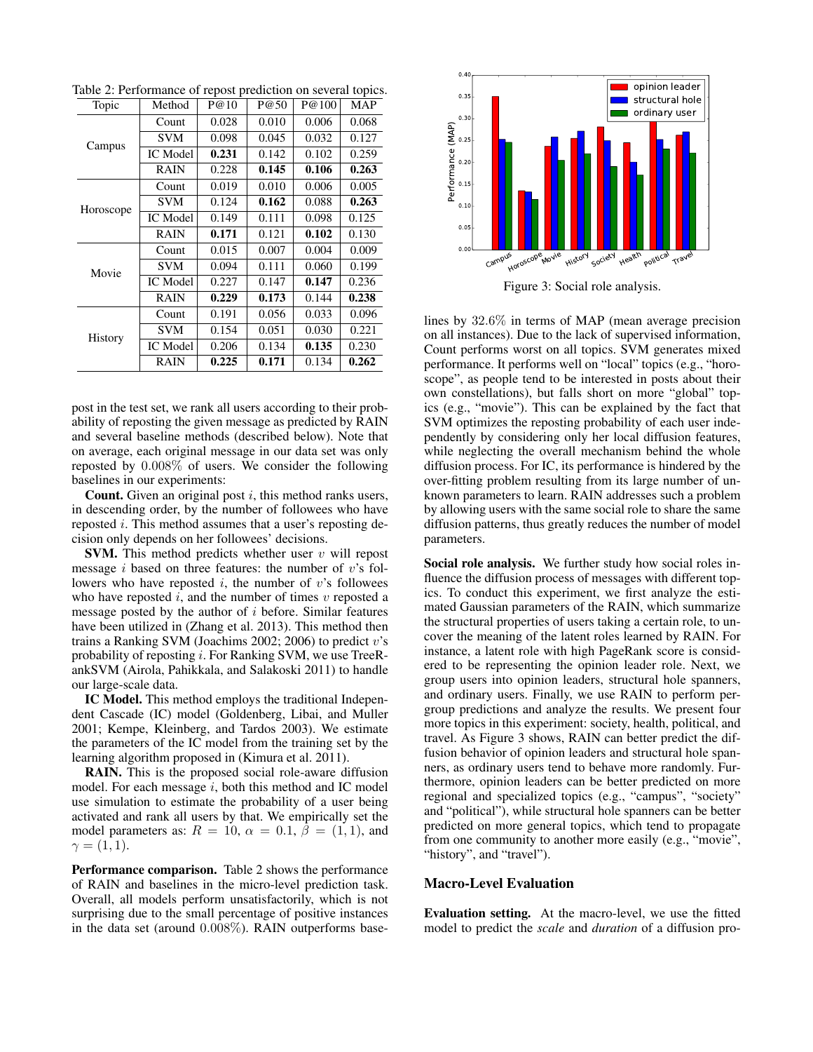| Topic          | Method          | P@10  | P@50  | P@100 | <b>MAP</b> |
|----------------|-----------------|-------|-------|-------|------------|
| Campus         | Count           | 0.028 | 0.010 | 0.006 | 0.068      |
|                | <b>SVM</b>      | 0.098 | 0.045 | 0.032 | 0.127      |
|                | <b>IC</b> Model | 0.231 | 0.142 | 0.102 | 0.259      |
|                | <b>RAIN</b>     | 0.228 | 0.145 | 0.106 | 0.263      |
| Horoscope      | Count           | 0.019 | 0.010 | 0.006 | 0.005      |
|                | <b>SVM</b>      | 0.124 | 0.162 | 0.088 | 0.263      |
|                | <b>IC</b> Model | 0.149 | 0.111 | 0.098 | 0.125      |
|                | <b>RAIN</b>     | 0.171 | 0.121 | 0.102 | 0.130      |
| Movie          | Count           | 0.015 | 0.007 | 0.004 | 0.009      |
|                | <b>SVM</b>      | 0.094 | 0.111 | 0.060 | 0.199      |
|                | <b>IC</b> Model | 0.227 | 0.147 | 0.147 | 0.236      |
|                | <b>RAIN</b>     | 0.229 | 0.173 | 0.144 | 0.238      |
| <b>History</b> | Count           | 0.191 | 0.056 | 0.033 | 0.096      |
|                | <b>SVM</b>      | 0.154 | 0.051 | 0.030 | 0.221      |
|                | IC Model        | 0.206 | 0.134 | 0.135 | 0.230      |
|                | RAIN            | 0.225 | 0.171 | 0.134 | 0.262      |

Table 2: Performance of repost prediction on several topics.

post in the test set, we rank all users according to their probability of reposting the given message as predicted by RAIN and several baseline methods (described below). Note that on average, each original message in our data set was only reposted by 0.008% of users. We consider the following baselines in our experiments:

**Count.** Given an original post  $i$ , this method ranks users, in descending order, by the number of followees who have reposted i. This method assumes that a user's reposting decision only depends on her followees' decisions.

**SVM.** This method predicts whether user  $v$  will repost message *i* based on three features: the number of  $v$ 's followers who have reposted  $i$ , the number of  $v$ 's followees who have reposted  $i$ , and the number of times  $v$  reposted a message posted by the author of  $i$  before. Similar features have been utilized in (Zhang et al. 2013). This method then trains a Ranking SVM (Joachims 2002; 2006) to predict  $v$ 's probability of reposting i. For Ranking SVM, we use TreeRankSVM (Airola, Pahikkala, and Salakoski 2011) to handle our large-scale data.

IC Model. This method employs the traditional Independent Cascade (IC) model (Goldenberg, Libai, and Muller 2001; Kempe, Kleinberg, and Tardos 2003). We estimate the parameters of the IC model from the training set by the learning algorithm proposed in (Kimura et al. 2011).

RAIN. This is the proposed social role-aware diffusion model. For each message  $i$ , both this method and IC model use simulation to estimate the probability of a user being activated and rank all users by that. We empirically set the model parameters as:  $R = 10$ ,  $\alpha = 0.1$ ,  $\beta = (1, 1)$ , and  $\gamma = (1,1).$ 

Performance comparison. Table 2 shows the performance of RAIN and baselines in the micro-level prediction task. Overall, all models perform unsatisfactorily, which is not surprising due to the small percentage of positive instances in the data set (around 0.008%). RAIN outperforms base-



Figure 3: Social role analysis.

lines by 32.6% in terms of MAP (mean average precision on all instances). Due to the lack of supervised information, Count performs worst on all topics. SVM generates mixed performance. It performs well on "local" topics (e.g., "horoscope", as people tend to be interested in posts about their own constellations), but falls short on more "global" topics (e.g., "movie"). This can be explained by the fact that SVM optimizes the reposting probability of each user independently by considering only her local diffusion features, while neglecting the overall mechanism behind the whole diffusion process. For IC, its performance is hindered by the over-fitting problem resulting from its large number of unknown parameters to learn. RAIN addresses such a problem by allowing users with the same social role to share the same diffusion patterns, thus greatly reduces the number of model parameters.

Social role analysis. We further study how social roles influence the diffusion process of messages with different topics. To conduct this experiment, we first analyze the estimated Gaussian parameters of the RAIN, which summarize the structural properties of users taking a certain role, to uncover the meaning of the latent roles learned by RAIN. For instance, a latent role with high PageRank score is considered to be representing the opinion leader role. Next, we group users into opinion leaders, structural hole spanners, and ordinary users. Finally, we use RAIN to perform pergroup predictions and analyze the results. We present four more topics in this experiment: society, health, political, and travel. As Figure 3 shows, RAIN can better predict the diffusion behavior of opinion leaders and structural hole spanners, as ordinary users tend to behave more randomly. Furthermore, opinion leaders can be better predicted on more regional and specialized topics (e.g., "campus", "society" and "political"), while structural hole spanners can be better predicted on more general topics, which tend to propagate from one community to another more easily (e.g., "movie", "history", and "travel").

# Macro-Level Evaluation

Evaluation setting. At the macro-level, we use the fitted model to predict the *scale* and *duration* of a diffusion pro-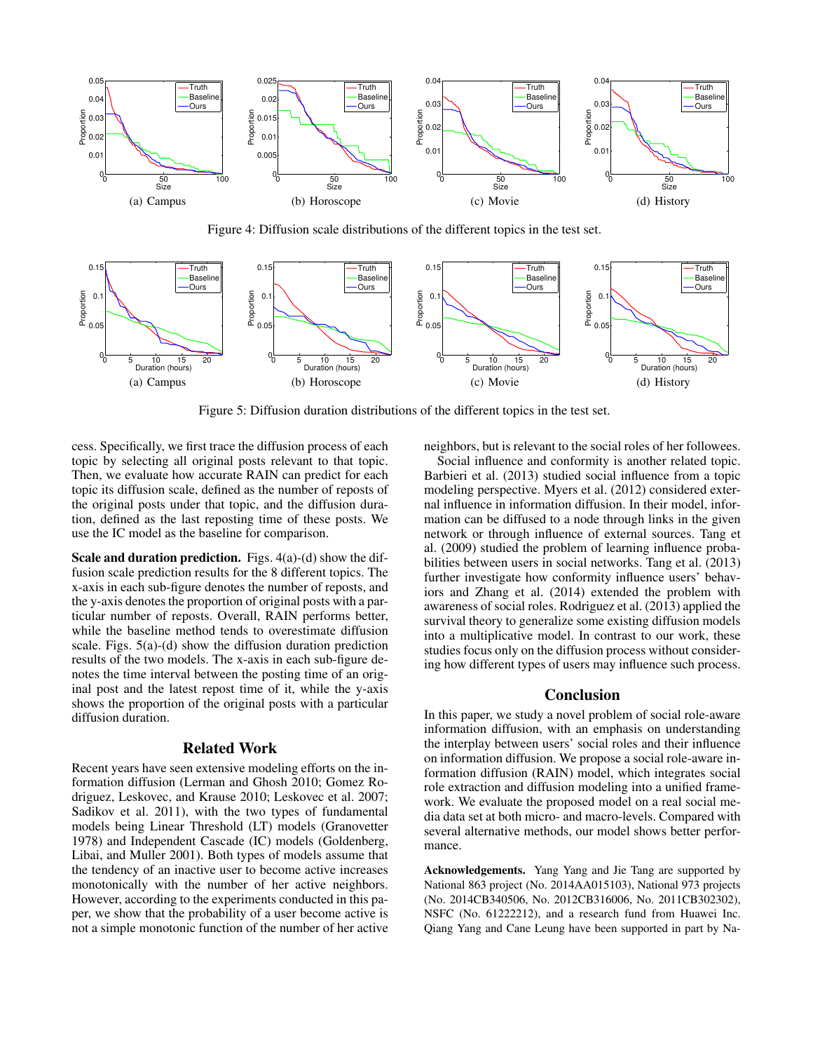

Figure 4: Diffusion scale distributions of the different topics in the test set.



Figure 5: Diffusion duration distributions of the different topics in the test set.

cess. Specifically, we first trace the diffusion process of each topic by selecting all original posts relevant to that topic. Then, we evaluate how accurate RAIN can predict for each topic its diffusion scale, defined as the number of reposts of the original posts under that topic, and the diffusion duration, defined as the last reposting time of these posts. We use the IC model as the baseline for comparison.

Scale and duration prediction. Figs. 4(a)-(d) show the diffusion scale prediction results for the 8 different topics. The x-axis in each sub-figure denotes the number of reposts, and the y-axis denotes the proportion of original posts with a particular number of reposts. Overall, RAIN performs better, while the baseline method tends to overestimate diffusion scale. Figs.  $5(a)-(d)$  show the diffusion duration prediction results of the two models. The x-axis in each sub-figure denotes the time interval between the posting time of an original post and the latest repost time of it, while the y-axis shows the proportion of the original posts with a particular diffusion duration.

# Related Work

Recent years have seen extensive modeling efforts on the information diffusion (Lerman and Ghosh 2010; Gomez Rodriguez, Leskovec, and Krause 2010; Leskovec et al. 2007; Sadikov et al. 2011), with the two types of fundamental models being Linear Threshold (LT) models (Granovetter 1978) and Independent Cascade (IC) models (Goldenberg, Libai, and Muller 2001). Both types of models assume that the tendency of an inactive user to become active increases monotonically with the number of her active neighbors. However, according to the experiments conducted in this paper, we show that the probability of a user become active is not a simple monotonic function of the number of her active

neighbors, but is relevant to the social roles of her followees.

Social influence and conformity is another related topic. Barbieri et al. (2013) studied social influence from a topic modeling perspective. Myers et al. (2012) considered external influence in information diffusion. In their model, information can be diffused to a node through links in the given network or through influence of external sources. Tang et al. (2009) studied the problem of learning influence probabilities between users in social networks. Tang et al. (2013) further investigate how conformity influence users' behaviors and Zhang et al. (2014) extended the problem with awareness of social roles. Rodriguez et al. (2013) applied the survival theory to generalize some existing diffusion models into a multiplicative model. In contrast to our work, these studies focus only on the diffusion process without considering how different types of users may influence such process.

#### Conclusion

In this paper, we study a novel problem of social role-aware information diffusion, with an emphasis on understanding the interplay between users' social roles and their influence on information diffusion. We propose a social role-aware information diffusion (RAIN) model, which integrates social role extraction and diffusion modeling into a unified framework. We evaluate the proposed model on a real social media data set at both micro- and macro-levels. Compared with several alternative methods, our model shows better performance.

Acknowledgements. Yang Yang and Jie Tang are supported by National 863 project (No. 2014AA015103), National 973 projects (No. 2014CB340506, No. 2012CB316006, No. 2011CB302302), NSFC (No. 61222212), and a research fund from Huawei Inc. Qiang Yang and Cane Leung have been supported in part by Na